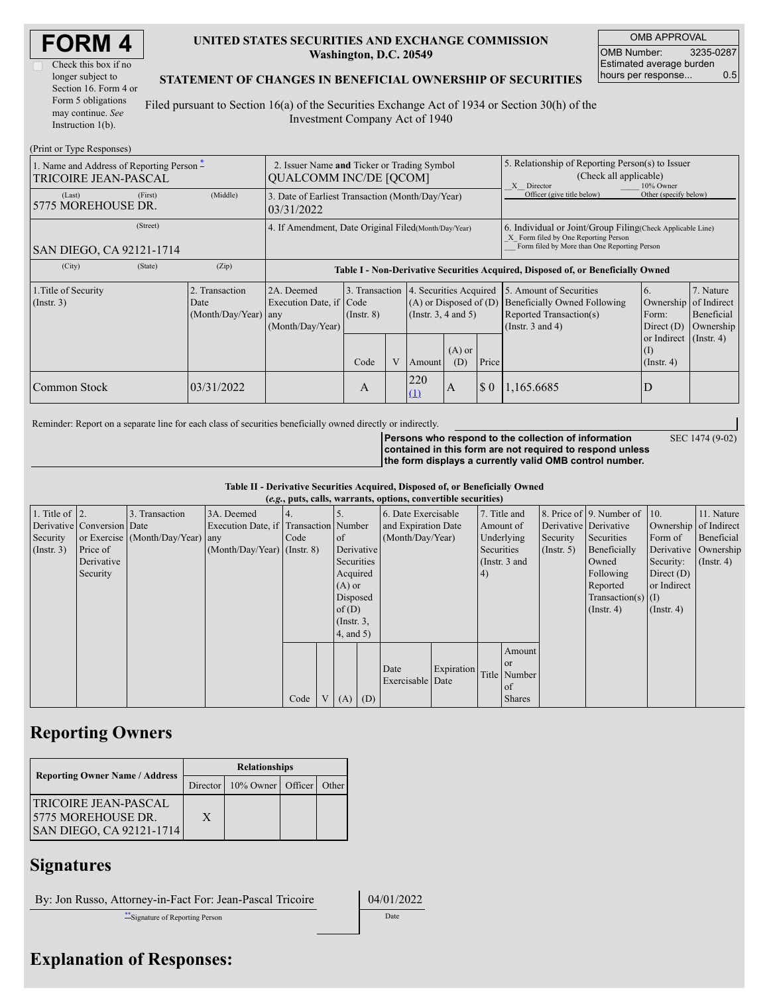| <b>FORM4</b> |  |
|--------------|--|
|--------------|--|

| Check this box if no  |
|-----------------------|
| longer subject to     |
| Section 16. Form 4 or |
| Form 5 obligations    |
| may continue. See     |
| Instruction $1(b)$ .  |

## **UNITED STATES SECURITIES AND EXCHANGE COMMISSION Washington, D.C. 20549**

OMB APPROVAL OMB Number: 3235-0287 Estimated average burden hours per response... 0.5

SEC 1474 (9-02)

## **STATEMENT OF CHANGES IN BENEFICIAL OWNERSHIP OF SECURITIES**

Filed pursuant to Section 16(a) of the Securities Exchange Act of 1934 or Section 30(h) of the Investment Company Act of 1940

| (Print or Type Responses)                                                   |                                                                              |                                                       |                                                                                                                                                                                                             |      |   |                                                                                                                                                                                                                            |                                                                                                                                                    |                            |                       |                                     |               |
|-----------------------------------------------------------------------------|------------------------------------------------------------------------------|-------------------------------------------------------|-------------------------------------------------------------------------------------------------------------------------------------------------------------------------------------------------------------|------|---|----------------------------------------------------------------------------------------------------------------------------------------------------------------------------------------------------------------------------|----------------------------------------------------------------------------------------------------------------------------------------------------|----------------------------|-----------------------|-------------------------------------|---------------|
| 1. Name and Address of Reporting Person $\tilde{-}$<br>TRICOIRE JEAN-PASCAL | 2. Issuer Name and Ticker or Trading Symbol<br><b>OUALCOMM INC/DE [OCOM]</b> |                                                       |                                                                                                                                                                                                             |      |   | 5. Relationship of Reporting Person(s) to Issuer<br>(Check all applicable)<br>X Director<br>10% Owner                                                                                                                      |                                                                                                                                                    |                            |                       |                                     |               |
| (Last)<br>5775 MOREHOUSE DR.                                                | (First)                                                                      | (Middle)                                              | 3. Date of Earliest Transaction (Month/Day/Year)<br>03/31/2022                                                                                                                                              |      |   |                                                                                                                                                                                                                            |                                                                                                                                                    | Officer (give title below) | Other (specify below) |                                     |               |
| SAN DIEGO, CA 92121-1714                                                    |                                                                              | 4. If Amendment, Date Original Filed (Month/Day/Year) |                                                                                                                                                                                                             |      |   |                                                                                                                                                                                                                            | 6. Individual or Joint/Group Filing Check Applicable Line)<br>X Form filed by One Reporting Person<br>Form filed by More than One Reporting Person |                            |                       |                                     |               |
| (City)                                                                      | (State)                                                                      | (Zip)                                                 | Table I - Non-Derivative Securities Acquired, Disposed of, or Beneficially Owned                                                                                                                            |      |   |                                                                                                                                                                                                                            |                                                                                                                                                    |                            |                       |                                     |               |
| 1. Title of Security<br>$($ Instr. 3 $)$                                    |                                                                              | 2. Transaction<br>Date                                | 4. Securities Acquired<br>2A. Deemed<br>3. Transaction<br>Execution Date, if Code<br>$(A)$ or Disposed of $(D)$<br>(Month/Day/Year) any<br>(Instr. $3, 4$ and $5$ )<br>$($ Instr. 8 $)$<br>(Month/Day/Year) |      |   | 5. Amount of Securities<br>7. Nature<br>6 <sub>1</sub><br>Ownership<br>Beneficially Owned Following<br>of Indirect<br>Reported Transaction(s)<br>Beneficial<br>Form:<br>(Instr. $3$ and $4$ )<br>Direct $(D)$<br>Ownership |                                                                                                                                                    |                            |                       |                                     |               |
|                                                                             |                                                                              |                                                       |                                                                                                                                                                                                             | Code | V | Amount                                                                                                                                                                                                                     | $(A)$ or<br>(D)                                                                                                                                    | Price                      |                       | or Indirect<br>(1)<br>$($ Instr. 4) | $($ Instr. 4) |
| Common Stock                                                                |                                                                              | 03/31/2022                                            |                                                                                                                                                                                                             | A    |   | 220<br>(1)                                                                                                                                                                                                                 | A                                                                                                                                                  | $\sqrt{3}0$                | 1,165.6685            | D                                   |               |

Reminder: Report on a separate line for each class of securities beneficially owned directly or indirectly.

**Persons who respond to the collection of information contained in this form are not required to respond unless the form displays a currently valid OMB control number.**

**Table II - Derivative Securities Acquired, Disposed of, or Beneficially Owned**

| (e.g., puts, calls, warrants, options, convertible securities) |                            |                                  |                                       |      |  |                  |          |                     |            |            |                 |                      |                                              |                       |                  |
|----------------------------------------------------------------|----------------------------|----------------------------------|---------------------------------------|------|--|------------------|----------|---------------------|------------|------------|-----------------|----------------------|----------------------------------------------|-----------------------|------------------|
| 1. Title of $ 2$ .                                             |                            | 3. Transaction                   | 3A. Deemed                            |      |  |                  |          | 6. Date Exercisable |            |            | 7. Title and    |                      | 8. Price of $\vert$ 9. Number of $\vert$ 10. |                       | 11. Nature       |
|                                                                | Derivative Conversion Date |                                  | Execution Date, if Transaction Number |      |  |                  |          | and Expiration Date |            | Amount of  |                 |                      | Derivative Derivative                        | Ownership of Indirect |                  |
| Security                                                       |                            | or Exercise (Month/Day/Year) any |                                       | Code |  | $\circ$ f        |          | (Month/Day/Year)    |            |            | Underlying      | Security             | Securities                                   | Form of               | Beneficial       |
| $($ Instr. 3 $)$                                               | Price of                   |                                  | $(Month/Dav/Year)$ (Instr. 8)         |      |  | Derivative       |          |                     |            | Securities |                 | $($ Instr. 5)        | Beneficially                                 | Derivative Ownership  |                  |
|                                                                | Derivative                 |                                  |                                       |      |  | Securities       |          |                     |            |            | (Instr. $3$ and |                      | Owned                                        | Security:             | $($ Instr. 4 $)$ |
|                                                                | Security                   |                                  |                                       |      |  | Acquired         |          |                     |            | 4)         |                 |                      | Following                                    | Direct $(D)$          |                  |
|                                                                |                            |                                  |                                       |      |  | $(A)$ or         |          |                     |            |            |                 |                      | Reported                                     | or Indirect           |                  |
|                                                                |                            |                                  |                                       |      |  |                  | Disposed |                     |            |            |                 | Transaction(s) $(I)$ |                                              |                       |                  |
|                                                                |                            |                                  |                                       |      |  | of $(D)$         |          |                     |            |            |                 |                      | $($ Instr. 4 $)$                             | $($ Instr. 4 $)$      |                  |
|                                                                |                            |                                  |                                       |      |  | $($ Instr. $3$ , |          |                     |            |            |                 |                      |                                              |                       |                  |
|                                                                |                            |                                  |                                       |      |  | $4$ , and $5$ )  |          |                     |            |            |                 |                      |                                              |                       |                  |
|                                                                |                            |                                  |                                       |      |  |                  |          |                     |            |            | Amount          |                      |                                              |                       |                  |
|                                                                |                            |                                  |                                       |      |  |                  |          |                     |            |            | <sub>or</sub>   |                      |                                              |                       |                  |
|                                                                |                            |                                  |                                       |      |  |                  |          | Date                | Expiration |            | Title Number    |                      |                                              |                       |                  |
|                                                                |                            |                                  |                                       |      |  |                  |          | Exercisable Date    |            |            | of              |                      |                                              |                       |                  |
|                                                                |                            |                                  |                                       | Code |  | (A)              | (D)      |                     |            |            | <b>Shares</b>   |                      |                                              |                       |                  |

## **Reporting Owners**

|                                                                                       | <b>Relationships</b> |                   |  |       |  |  |  |  |
|---------------------------------------------------------------------------------------|----------------------|-------------------|--|-------|--|--|--|--|
| <b>Reporting Owner Name / Address</b>                                                 | Director             | 10% Owner Officer |  | Other |  |  |  |  |
| <b>TRICOIRE JEAN-PASCAL</b><br>15775 MOREHOUSE DR.<br><b>SAN DIEGO, CA 92121-1714</b> | X                    |                   |  |       |  |  |  |  |

## **Signatures**

By: Jon Russo, Attorney-in-Fact For: Jean-Pascal Tricoire | 04/01/2022

\*\*Signature of Reporting Person Date

**Explanation of Responses:**